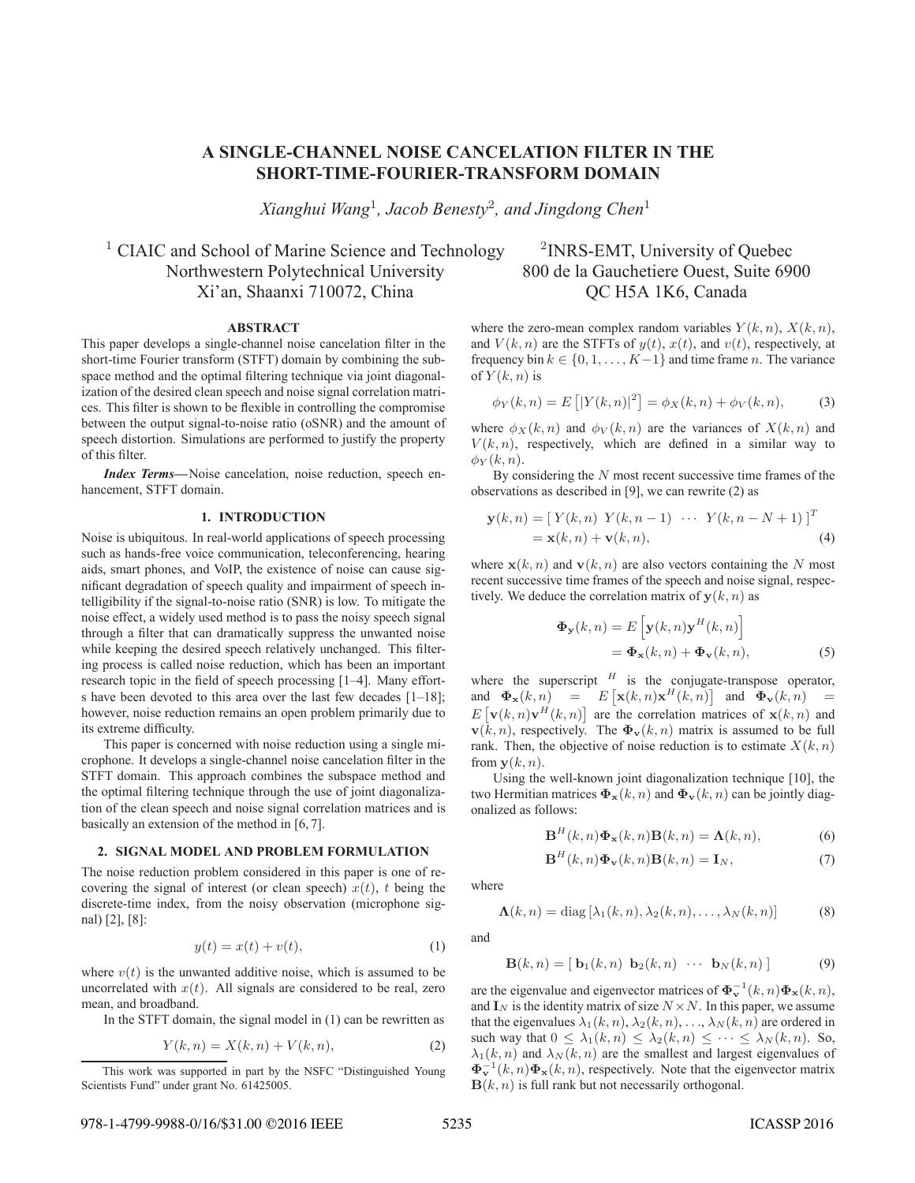# **A SINGLE-CHANNEL NOISE CANCELATION FILTER IN THE SHORT-TIME-FOURIER-TRANSFORM DOMAIN**

*Xianghui Wang*<sup>1</sup>*, Jacob Benesty*<sup>2</sup>*, and Jingdong Chen*<sup>1</sup>

<sup>1</sup> CIAIC and School of Marine Science and Technology  $\frac{2}{}_{1}$  <sup>2</sup>INRS-EMT, University of Quebec Northwestern Polytechnical University 800 de la Gauchetiere Ouest, Suite 6900 Xi'an, Shaanxi 710072, China QC H5A 1K6, Canada

## **ABSTRACT**

This paper develops a single-channel noise cancelation filter in the short-time Fourier transform (STFT) domain by combining the subspace method and the optimal filtering technique via joint diagonalization of the desired clean speech and noise signal correlation matrices. This filter is shown to be flexible in controlling the compromise between the output signal-to-noise ratio (oSNR) and the amount of speech distortion. Simulations are performed to justify the property of this filter.

*Index Terms***—**Noise cancelation, noise reduction, speech enhancement, STFT domain.

## **1. INTRODUCTION**

Noise is ubiquitous. In real-world applications of speech processing such as hands-free voice communication, teleconferencing, hearing aids, smart phones, and VoIP, the existence of noise can cause significant degradation of speech quality and impairment of speech intelligibility if the signal-to-noise ratio (SNR) is low. To mitigate the noise effect, a widely used method is to pass the noisy speech signal through a filter that can dramatically suppress the unwanted noise while keeping the desired speech relatively unchanged. This filtering process is called noise reduction, which has been an important research topic in the field of speech processing [1–4]. Many efforts have been devoted to this area over the last few decades [1–18]; however, noise reduction remains an open problem primarily due to its extreme difficulty.

This paper is concerned with noise reduction using a single microphone. It develops a single-channel noise cancelation filter in the STFT domain. This approach combines the subspace method and the optimal filtering technique through the use of joint diagonalization of the clean speech and noise signal correlation matrices and is basically an extension of the method in [6, 7].

#### **2. SIGNAL MODEL AND PROBLEM FORMULATION**

The noise reduction problem considered in this paper is one of recovering the signal of interest (or clean speech)  $x(t)$ , t being the discrete-time index, from the noisy observation (microphone signal) [2], [8]:

$$
y(t) = x(t) + v(t),
$$
\n<sup>(1)</sup>

where  $v(t)$  is the unwanted additive noise, which is assumed to be uncorrelated with  $x(t)$ . All signals are considered to be real, zero mean, and broadband.

In the STFT domain, the signal model in (1) can be rewritten as

$$
Y(k,n) = X(k,n) + V(k,n),\tag{2}
$$

where the zero-mean complex random variables  $Y(k, n)$ ,  $X(k, n)$ , and  $V(k, n)$  are the STFTs of  $y(t)$ ,  $x(t)$ , and  $v(t)$ , respectively, at frequency bin  $k \in \{0, 1, \ldots, K-1\}$  and time frame n. The variance of  $Y(k, n)$  is

$$
\phi_Y(k,n) = E\left[|Y(k,n)|^2\right] = \phi_X(k,n) + \phi_V(k,n),\tag{3}
$$

where  $\phi_X(k,n)$  and  $\phi_V(k,n)$  are the variances of  $X(k,n)$  and  $V(k, n)$ , respectively, which are defined in a similar way to  $\phi_Y(k,n)$ .

By considering the  $N$  most recent successive time frames of the observations as described in [9], we can rewrite (2) as

$$
\mathbf{y}(k,n) = \begin{bmatrix} Y(k,n) & Y(k,n-1) & \cdots & Y(k,n-N+1) \end{bmatrix}^T
$$
  
=  $\mathbf{x}(k,n) + \mathbf{v}(k,n),$  (4)

where  $\mathbf{x}(k, n)$  and  $\mathbf{v}(k, n)$  are also vectors containing the N most recent successive time frames of the speech and noise signal, respectively. We deduce the correlation matrix of  $y(k, n)$  as

$$
\begin{aligned} \mathbf{\Phi}_{\mathbf{y}}(k,n) &= E\left[\mathbf{y}(k,n)\mathbf{y}^{H}(k,n)\right] \\ &= \mathbf{\Phi}_{\mathbf{x}}(k,n) + \mathbf{\Phi}_{\mathbf{v}}(k,n), \end{aligned} \tag{5}
$$

where the superscript  $H$  is the conjugate-transpose operator, and  $\Phi_{\mathbf{x}}(k,n) = E[x(k,n)\mathbf{x}^H(k,n)]$  and  $\Phi_{\mathbf{v}}(k,n) =$  $E[\mathbf{v}(k,n)\mathbf{v}^H(k,n)]$  are the correlation matrices of  $\mathbf{x}(k,n)$  and  $\mathbf{v}(k, n)$ , respectively. The  $\mathbf{\Phi}_{\mathbf{v}}(k, n)$  matrix is assumed to be full rank. Then, the objective of noise reduction is to estimate  $X(k, n)$ from  $y(k, n)$ .

Using the well-known joint diagonalization technique [10], the two Hermitian matrices  $\Phi_{\mathbf{x}}(k, n)$  and  $\Phi_{\mathbf{v}}(k, n)$  can be jointly diagonalized as follows:

$$
\mathbf{B}^{H}(k,n)\mathbf{\Phi}_{\mathbf{x}}(k,n)\mathbf{B}(k,n) = \mathbf{\Lambda}(k,n),\tag{6}
$$

$$
\mathbf{B}^{H}(k,n)\mathbf{\Phi}_{\mathbf{v}}(k,n)\mathbf{B}(k,n) = \mathbf{I}_{N},\tag{7}
$$

where

$$
\mathbf{\Lambda}(k,n) = \text{diag}\left[\lambda_1(k,n), \lambda_2(k,n), \dots, \lambda_N(k,n)\right] \tag{8}
$$

and

$$
\mathbf{B}(k,n) = [\mathbf{b}_1(k,n) \ \mathbf{b}_2(k,n) \ \cdots \ \mathbf{b}_N(k,n)] \tag{9}
$$

are the eigenvalue and eigenvector matrices of  $\mathbf{\Phi}_{\mathbf{v}}^{-1}(k, n)\mathbf{\Phi}_{\mathbf{x}}(k, n)$ , and  $\mathbf{I}_N$  is the identity matrix of size  $N \times N$ . In this paper, we assume that the eigenvalues  $\lambda_1(k, n), \lambda_2(k, n), \ldots, \lambda_N(k, n)$  are ordered in such way that  $0 \leq \lambda_1(k,n) \leq \lambda_2(k,n) \leq \cdots \leq \lambda_N(k,n)$ . So,  $\lambda_1(k, n)$  and  $\lambda_N(k, n)$  are the smallest and largest eigenvalues of  $\mathbf{\Phi}_{\mathbf{x}}^{-1}(k,n)\mathbf{\Phi}_{\mathbf{x}}(k,n)$ , respectively. Note that the eigenvector matrix  $\mathbf{B}(k, n)$  is full rank but not necessarily orthogonal.

This work was supported in part by the NSFC "Distinguished Young Scientists Fund" under grant No. 61425005.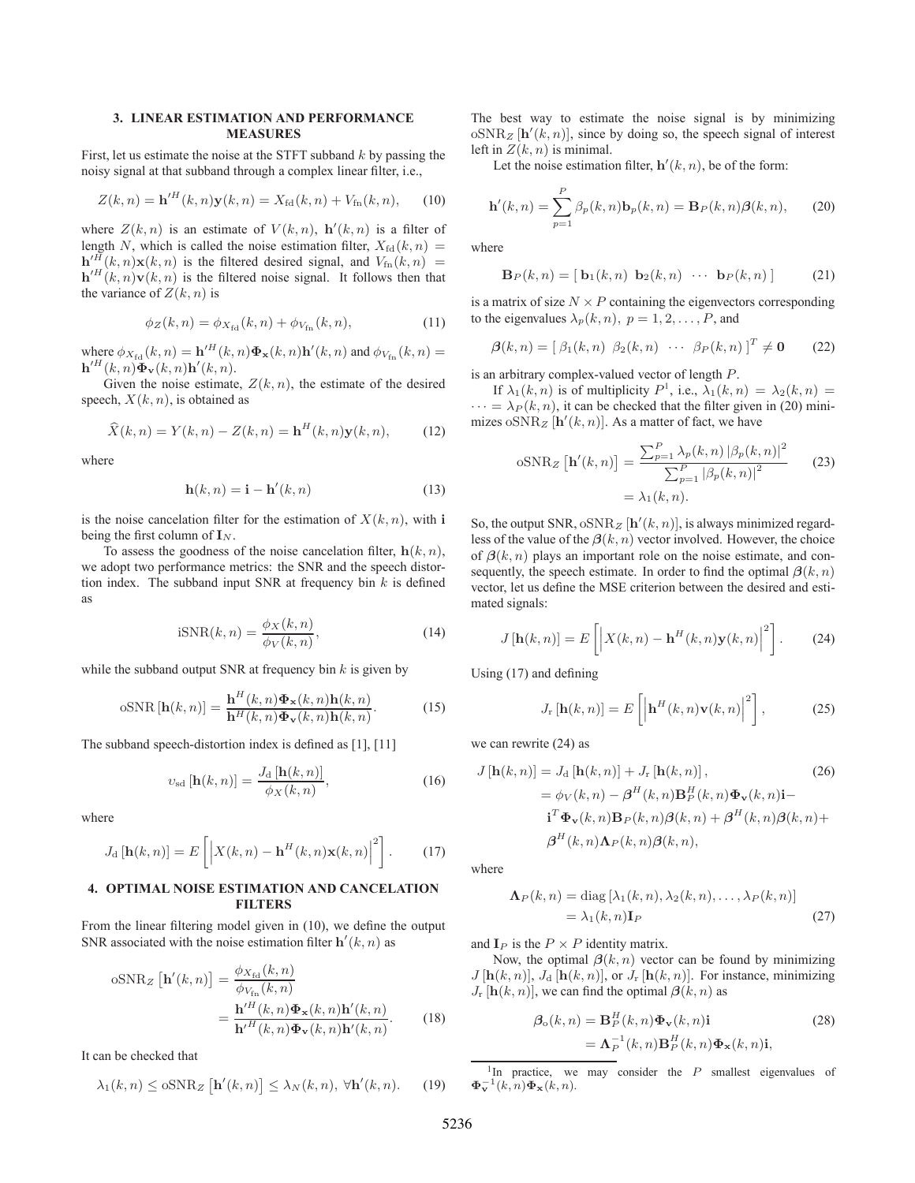## **3. LINEAR ESTIMATION AND PERFORMANCE MEASURES**

First, let us estimate the noise at the STFT subband  $k$  by passing the noisy signal at that subband through a complex linear filter, i.e.,

$$
Z(k,n) = \mathbf{h}'^{H}(k,n)\mathbf{y}(k,n) = X_{\text{fd}}(k,n) + V_{\text{fn}}(k,n), \quad (10)
$$

where  $Z(k, n)$  is an estimate of  $V(k, n)$ ,  $h'(k, n)$  is a filter of length N, which is called the noise estimation filter,  $X_{\text{fd}}(k, n) =$  $h^{\prime H}$  $W^I(k, n)\mathbf{x}(k, n)$  is the filtered desired signal, and  $V_{\text{fn}}(k, n) =$  $\mathbf{h}^{\prime H}(\vec{k}, n) \mathbf{v}(\vec{k}, n)$  is the filtered noise signal. It follows then that the variance of  $Z(k, n)$  is

$$
\phi_Z(k, n) = \phi_{X_{\text{fd}}}(k, n) + \phi_{V_{\text{fn}}}(k, n), \tag{11}
$$

where  $\phi_{X_{\text{fd}}}(k, n) = \mathbf{h}'^H(k, n) \mathbf{\Phi}_{\mathbf{x}}(k, n) \mathbf{h}'(k, n)$  and  $\phi_{V_{\text{fn}}}(k, n) =$  $\mathbf{h}^{\prime H}(k,n)\mathbf{\Phi}_{\mathbf{v}}(k,n)\mathbf{h}^{\prime}(k,n).$ 

Given the noise estimate,  $Z(k, n)$ , the estimate of the desired speech,  $X(k, n)$ , is obtained as

$$
\widehat{X}(k,n) = Y(k,n) - Z(k,n) = \mathbf{h}^{H}(k,n)\mathbf{y}(k,n), \qquad (12)
$$

where

$$
\mathbf{h}(k,n) = \mathbf{i} - \mathbf{h}'(k,n) \tag{13}
$$

is the noise cancelation filter for the estimation of  $X(k, n)$ , with **i** being the first column of  $\mathbf{I}_N$ .

To assess the goodness of the noise cancelation filter,  $h(k, n)$ , we adopt two performance metrics: the SNR and the speech distortion index. The subband input SNR at frequency bin  $k$  is defined as

$$
iSNR(k,n) = \frac{\phi_X(k,n)}{\phi_V(k,n)},
$$
\n(14)

while the subband output SNR at frequency bin  $k$  is given by

$$
\text{oSNR}\left[\mathbf{h}(k,n)\right] = \frac{\mathbf{h}^H(k,n)\mathbf{\Phi}_{\mathbf{x}}(k,n)\mathbf{h}(k,n)}{\mathbf{h}^H(k,n)\mathbf{\Phi}_{\mathbf{v}}(k,n)\mathbf{h}(k,n)}.
$$
(15)

The subband speech-distortion index is defined as [1], [11]

$$
v_{\rm sd}\left[\mathbf{h}(k,n)\right] = \frac{J_{\rm d}\left[\mathbf{h}(k,n)\right]}{\phi_X(k,n)},\tag{16}
$$

where

$$
J_{\mathrm{d}}\left[\mathbf{h}(k,n)\right] = E\left[\left|X(k,n) - \mathbf{h}^{H}(k,n)\mathbf{x}(k,n)\right|^{2}\right].
$$
 (17)

## **4. OPTIMAL NOISE ESTIMATION AND CANCELATION FILTERS**

From the linear filtering model given in (10), we define the output SNR associated with the noise estimation filter  $h'(k, n)$  as

$$
\text{oSNR}_Z\left[\mathbf{h}'(k,n)\right] = \frac{\phi_{X_{\text{fd}}}(k,n)}{\phi_{V_{\text{fn}}}(k,n)} \n= \frac{\mathbf{h}'^H(k,n)\mathbf{\Phi}_{\mathbf{x}}(k,n)\mathbf{h}'(k,n)}{\mathbf{h}'^H(k,n)\mathbf{\Phi}_{\mathbf{v}}(k,n)\mathbf{h}'(k,n)}.
$$
\n(18)

It can be checked that

$$
\lambda_1(k,n) \le \text{osNR}_Z \left[ \mathbf{h}'(k,n) \right] \le \lambda_N(k,n), \ \forall \mathbf{h}'(k,n). \tag{19}
$$

The best way to estimate the noise signal is by minimizing  $\mathrm{oSNR}_z$  [h'(k, n)], since by doing so, the speech signal of interest left in  $Z(k, n)$  is minimal.

Let the noise estimation filter,  $h'(k, n)$ , be of the form:

$$
\mathbf{h}'(k,n) = \sum_{p=1}^{P} \beta_p(k,n) \mathbf{b}_p(k,n) = \mathbf{B}_P(k,n) \beta(k,n), \qquad (20)
$$

where

$$
\mathbf{B}_P(k,n) = [\mathbf{b}_1(k,n) \mathbf{b}_2(k,n) \cdots \mathbf{b}_P(k,n)] \quad (21)
$$

is a matrix of size  $N \times P$  containing the eigenvectors corresponding to the eigenvalues  $\lambda_p(k, n)$ ,  $p = 1, 2, \dots, P$ , and

$$
\boldsymbol{\beta}(k,n) = [\beta_1(k,n) \ \beta_2(k,n) \ \cdots \ \beta_P(k,n)]^T \neq \mathbf{0} \qquad (22)
$$

is an arbitrary complex-valued vector of length P.

If  $\lambda_1(k,n)$  is of multiplicity  $P^1$ , i.e.,  $\lambda_1(k,n) = \lambda_2(k,n) =$  $\cdots = \lambda_P(k, n)$ , it can be checked that the filter given in (20) minimizes  $\delta$ SNR<sub>Z</sub> [**h**'(k, n)]. As a matter of fact, we have

$$
\text{oSNR}_Z\left[\mathbf{h}'(k,n)\right] = \frac{\sum_{p=1}^P \lambda_p(k,n) \left|\beta_p(k,n)\right|^2}{\sum_{p=1}^P |\beta_p(k,n)|^2} \qquad (23)
$$

$$
= \lambda_1(k,n).
$$

So, the output SNR,  $\mathrm{oSNR}_z$   $[\mathbf{h}'(k, n)]$ , is always minimized regardless of the value of the  $\beta(k, n)$  vector involved. However, the choice of  $\beta(k, n)$  plays an important role on the noise estimate, and consequently, the speech estimate. In order to find the optimal  $\beta(k, n)$ vector, let us define the MSE criterion between the desired and estimated signals:

$$
J\left[\mathbf{h}(k,n)\right] = E\left[\left|X(k,n) - \mathbf{h}^H(k,n)\mathbf{y}(k,n)\right|^2\right].
$$
 (24)

Using (17) and defining

$$
J_{\mathbf{r}}\left[\mathbf{h}(k,n)\right] = E\left[\left|\mathbf{h}^{H}(k,n)\mathbf{v}(k,n)\right|^{2}\right],\tag{25}
$$

we can rewrite (24) as

$$
J\left[\mathbf{h}(k,n)\right] = J_{\mathrm{d}}\left[\mathbf{h}(k,n)\right] + J_{\mathrm{r}}\left[\mathbf{h}(k,n)\right],\tag{26}
$$

$$
= \phi_V(k,n) - \beta^H(k,n)\mathbf{B}_P^H(k,n)\Phi_V(k,n)\mathbf{i} - \mathbf{i}^T\Phi_V(k,n)\mathbf{B}_P(k,n)\beta(k,n) + \beta^H(k,n)\beta(k,n) + \beta^H(k,n)\mathbf{A}_P(k,n)\beta(k,n),
$$

where

$$
\Lambda_P(k, n) = \text{diag} \left[ \lambda_1(k, n), \lambda_2(k, n), \dots, \lambda_P(k, n) \right]
$$

$$
= \lambda_1(k, n) \mathbf{I}_P \tag{27}
$$

and  $\mathbf{I}_P$  is the  $P \times P$  identity matrix.

Now, the optimal  $\beta(k, n)$  vector can be found by minimizing  $J$  [ $\mathbf{h}(k, n)$ ],  $J_d$  [ $\mathbf{h}(k, n)$ ], or  $J_r$  [ $\mathbf{h}(k, n)$ ]. For instance, minimizing  $J_r$  [**h**(k, n)], we can find the optimal  $\beta(k, n)$  as

$$
\beta_o(k, n) = \mathbf{B}_P^H(k, n)\Phi_{\mathbf{v}}(k, n)\mathbf{i}
$$
\n
$$
= \mathbf{\Lambda}_P^{-1}(k, n)\mathbf{B}_P^H(k, n)\Phi_{\mathbf{x}}(k, n)\mathbf{i},
$$
\n(28)

<sup>1</sup>In practice, we may consider the  $P$  smallest eigenvalues of  $\mathbf{\Phi}_{\mathbf{v}}^{-1}(k,n)\mathbf{\Phi}_{\mathbf{x}}(k,n).$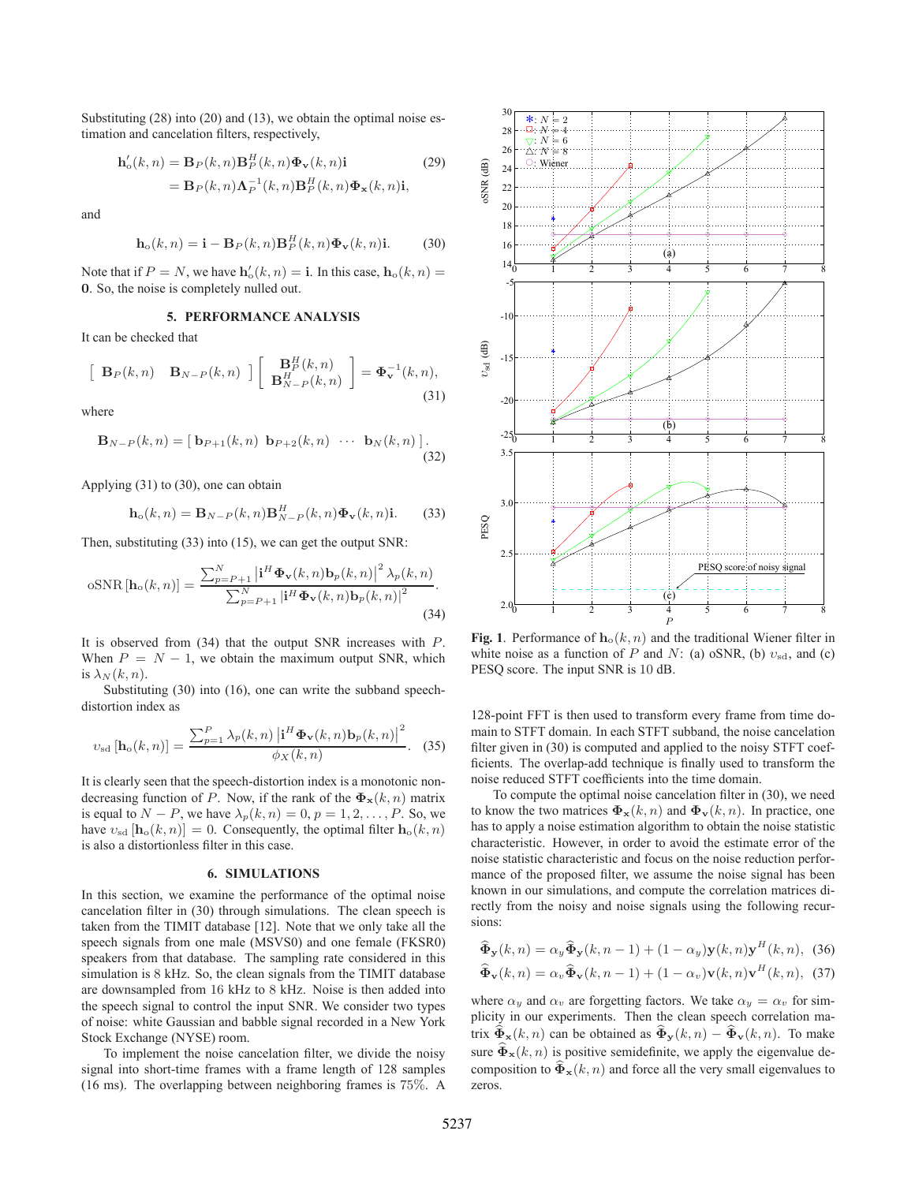Substituting (28) into (20) and (13), we obtain the optimal noise estimation and cancelation filters, respectively,

$$
\mathbf{h}'_o(k,n) = \mathbf{B}_P(k,n)\mathbf{B}_P^H(k,n)\mathbf{\Phi}_{\mathbf{v}}(k,n)\mathbf{i}
$$
\n
$$
= \mathbf{B}_P(k,n)\mathbf{\Lambda}_P^{-1}(k,n)\mathbf{B}_P^H(k,n)\mathbf{\Phi}_{\mathbf{x}}(k,n)\mathbf{i},
$$
\n(29)

and

$$
\mathbf{h}_{\mathrm{o}}(k,n) = \mathbf{i} - \mathbf{B}_{P}(k,n)\mathbf{B}_{P}^{H}(k,n)\mathbf{\Phi}_{\mathbf{v}}(k,n)\mathbf{i}.
$$
 (30)

Note that if  $P = N$ , we have  $h'_0(k, n) = \mathbf{i}$ . In this case,  $h_0(k, n) =$ **0**. So, the noise is completely nulled out.

### **5. PERFORMANCE ANALYSIS**

It can be checked that

$$
\begin{bmatrix} \mathbf{B}_P(k,n) & \mathbf{B}_{N-P}(k,n) \end{bmatrix} \begin{bmatrix} \mathbf{B}_P^H(k,n) \\ \mathbf{B}_{N-P}^H(k,n) \end{bmatrix} = \Phi_{\mathbf{v}}^{-1}(k,n),
$$
\n(31)

where

$$
\mathbf{B}_{N-P}(k,n) = [\mathbf{b}_{P+1}(k,n) \mathbf{b}_{P+2}(k,n) \cdots \mathbf{b}_{N}(k,n)]
$$
\n(32)

Applying (31) to (30), one can obtain

$$
\mathbf{h}_{\mathrm{o}}(k,n) = \mathbf{B}_{N-P}(k,n)\mathbf{B}_{N-P}^{H}(k,n)\mathbf{\Phi}_{\mathbf{v}}(k,n)\mathbf{i}.
$$
 (33)

Then, substituting (33) into (15), we can get the output SNR:

$$
\text{oSNR}\left[\mathbf{h}_{\text{o}}(k,n)\right] = \frac{\sum_{p=P+1}^{N} \left|\mathbf{i}^{H} \mathbf{\Phi}_{\mathbf{v}}(k,n) \mathbf{b}_{p}(k,n)\right|^{2} \lambda_{p}(k,n)}{\sum_{p=P+1}^{N} \left|\mathbf{i}^{H} \mathbf{\Phi}_{\mathbf{v}}(k,n) \mathbf{b}_{p}(k,n)\right|^{2}}.
$$
\n(34)

It is observed from (34) that the output SNR increases with P. When  $P = N - 1$ , we obtain the maximum output SNR, which is  $\lambda_N(k,n)$ .

Substituting (30) into (16), one can write the subband speechdistortion index as

$$
v_{\rm sd}\left[\mathbf{h}_{\rm o}(k,n)\right] = \frac{\sum_{p=1}^{P} \lambda_p(k,n) \left|\mathbf{i}^H \boldsymbol{\Phi}_{\mathbf{v}}(k,n) \mathbf{b}_p(k,n)\right|^2}{\phi_X(k,n)}.
$$
 (35)

It is clearly seen that the speech-distortion index is a monotonic nondecreasing function of P. Now, if the rank of the  $\Phi_{\mathbf{x}}(k, n)$  matrix is equal to  $N - P$ , we have  $\lambda_p(k, n) = 0, p = 1, 2, \ldots, P$ . So, we have  $v_{sd}$  [**h**<sub>o</sub>(k, n)] = 0. Consequently, the optimal filter **h**<sub>o</sub>(k, n) is also a distortionless filter in this case.

#### **6. SIMULATIONS**

In this section, we examine the performance of the optimal noise cancelation filter in (30) through simulations. The clean speech is taken from the TIMIT database [12]. Note that we only take all the speech signals from one male (MSVS0) and one female (FKSR0) speakers from that database. The sampling rate considered in this simulation is 8 kHz. So, the clean signals from the TIMIT database are downsampled from 16 kHz to 8 kHz. Noise is then added into the speech signal to control the input SNR. We consider two types of noise: white Gaussian and babble signal recorded in a New York Stock Exchange (NYSE) room.

To implement the noise cancelation filter, we divide the noisy signal into short-time frames with a frame length of 128 samples (16 ms). The overlapping between neighboring frames is 75%. A



**Fig. 1**. Performance of  $h_o(k, n)$  and the traditional Wiener filter in white noise as a function of P and N: (a) oSNR, (b)  $v_{sd}$ , and (c) PESQ score. The input SNR is 10 dB.

128-point FFT is then used to transform every frame from time domain to STFT domain. In each STFT subband, the noise cancelation filter given in (30) is computed and applied to the noisy STFT coefficients. The overlap-add technique is finally used to transform the noise reduced STFT coefficients into the time domain.

To compute the optimal noise cancelation filter in (30), we need to know the two matrices  $\Phi_{\mathbf{x}}(k, n)$  and  $\Phi_{\mathbf{v}}(k, n)$ . In practice, one has to apply a noise estimation algorithm to obtain the noise statistic characteristic. However, in order to avoid the estimate error of the noise statistic characteristic and focus on the noise reduction performance of the proposed filter, we assume the noise signal has been known in our simulations, and compute the correlation matrices directly from the noisy and noise signals using the following recursions:

$$
\widehat{\Phi}_{\mathbf{y}}(k,n) = \alpha_y \widehat{\Phi}_{\mathbf{y}}(k,n-1) + (1 - \alpha_y) \mathbf{y}(k,n) \mathbf{y}^H(k,n), \quad (36)
$$
  

$$
\widehat{\Phi}_{\mathbf{v}}(k,n) = \alpha_y \widehat{\Phi}_{\mathbf{v}}(k,n-1) + (1 - \alpha_y) \mathbf{v}(k,n) \mathbf{v}^H(k,n), \quad (37)
$$

where  $\alpha_y$  and  $\alpha_v$  are forgetting factors. We take  $\alpha_y = \alpha_v$  for simplicity in our experiments. Then the clean speech correlation matrix  $\widehat{\Phi}_{\mathbf{x}}(k, n)$  can be obtained as  $\widehat{\Phi}_{\mathbf{y}}(k, n) - \widehat{\Phi}_{\mathbf{v}}(k, n)$ . To make sure  $\widehat{\Phi}_{\mathbf{x}}(k, n)$  is positive semidefinite, we apply the eigenvalue decomposition to  $\mathbf{\Phi}_{\mathbf{x}}(k, n)$  and force all the very small eigenvalues to zeros.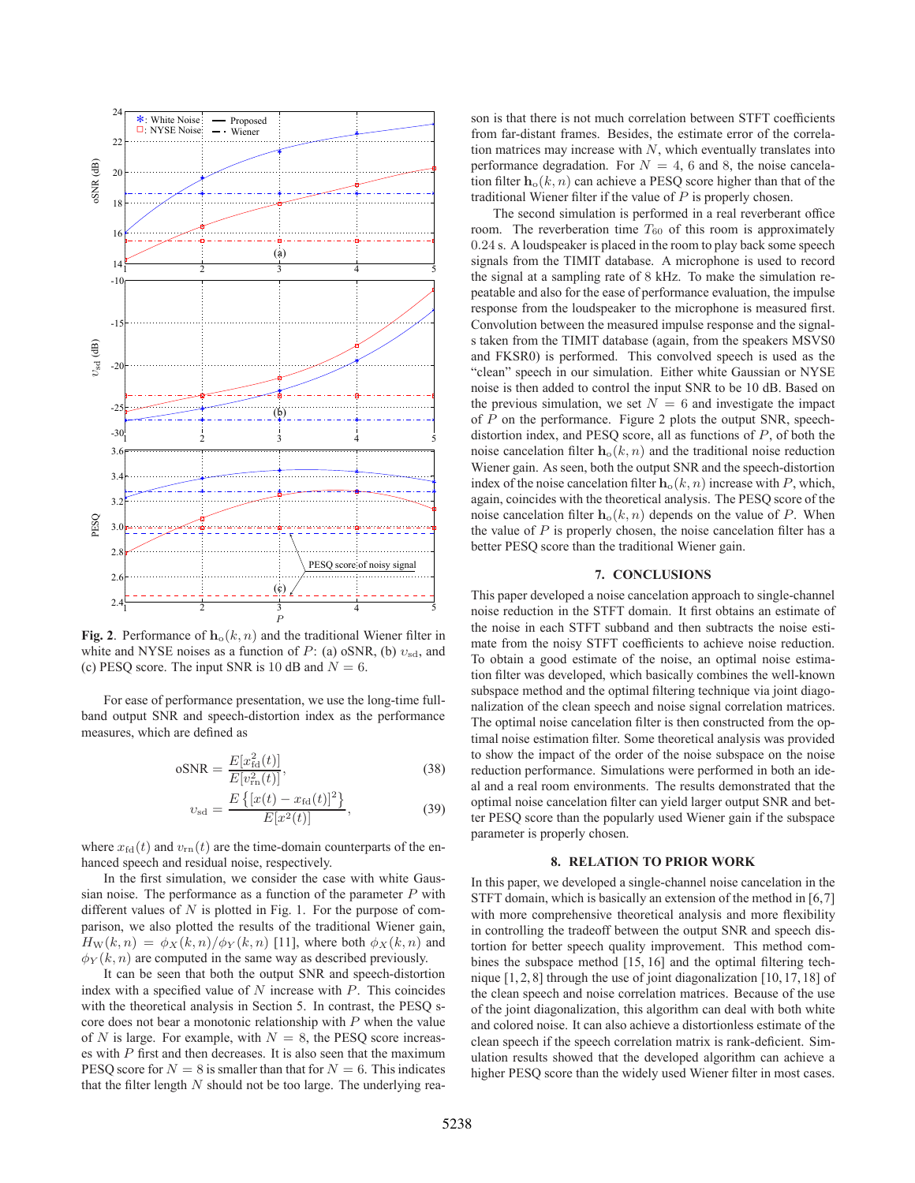

**Fig. 2**. Performance of  $h_o(k, n)$  and the traditional Wiener filter in white and NYSE noises as a function of P: (a) oSNR, (b)  $v_{sd}$ , and (c) PESQ score. The input SNR is 10 dB and  $N = 6$ .

For ease of performance presentation, we use the long-time fullband output SNR and speech-distortion index as the performance measures, which are defined as

$$
oSNR = \frac{E[x_{\text{fd}}^2(t)]}{E[v_{\text{rn}}^2(t)]},
$$
\n(38)

$$
v_{\rm sd} = \frac{E\left\{ [x(t) - x_{\rm fd}(t)]^2 \right\}}{E[x^2(t)]},\tag{39}
$$

where  $x_{\text{fd}}(t)$  and  $v_{\text{rn}}(t)$  are the time-domain counterparts of the enhanced speech and residual noise, respectively.

In the first simulation, we consider the case with white Gaussian noise. The performance as a function of the parameter  $P$  with different values of  $N$  is plotted in Fig. 1. For the purpose of comparison, we also plotted the results of the traditional Wiener gain,  $H_W(k, n) = \phi_X(k, n) / \phi_Y(k, n)$  [11], where both  $\phi_X(k, n)$  and  $\phi_Y(k, n)$  are computed in the same way as described previously.

It can be seen that both the output SNR and speech-distortion index with a specified value of N increase with  $P$ . This coincides with the theoretical analysis in Section 5. In contrast, the PESQ score does not bear a monotonic relationship with P when the value of N is large. For example, with  $N = 8$ , the PESO score increases with  $P$  first and then decreases. It is also seen that the maximum PESQ score for  $N = 8$  is smaller than that for  $N = 6$ . This indicates that the filter length  $N$  should not be too large. The underlying rea-

son is that there is not much correlation between STFT coefficients from far-distant frames. Besides, the estimate error of the correlation matrices may increase with  $N$ , which eventually translates into performance degradation. For  $N = 4$ , 6 and 8, the noise cancelation filter  $h_o(k, n)$  can achieve a PESQ score higher than that of the traditional Wiener filter if the value of P is properly chosen.

The second simulation is performed in a real reverberant office room. The reverberation time  $T_{60}$  of this room is approximately 0.24 s. A loudspeaker is placed in the room to play back some speech signals from the TIMIT database. A microphone is used to record the signal at a sampling rate of 8 kHz. To make the simulation repeatable and also for the ease of performance evaluation, the impulse response from the loudspeaker to the microphone is measured first. Convolution between the measured impulse response and the signals taken from the TIMIT database (again, from the speakers MSVS0 and FKSR0) is performed. This convolved speech is used as the "clean" speech in our simulation. Either white Gaussian or NYSE noise is then added to control the input SNR to be 10 dB. Based on the previous simulation, we set  $N = 6$  and investigate the impact of P on the performance. Figure 2 plots the output SNR, speechdistortion index, and PESQ score, all as functions of P, of both the noise cancelation filter  $h_o(k, n)$  and the traditional noise reduction Wiener gain. As seen, both the output SNR and the speech-distortion index of the noise cancelation filter  $h_o(k, n)$  increase with P, which, again, coincides with the theoretical analysis. The PESQ score of the noise cancelation filter  $h_o(k, n)$  depends on the value of P. When the value of  $P$  is properly chosen, the noise cancelation filter has a better PESQ score than the traditional Wiener gain.

## **7. CONCLUSIONS**

This paper developed a noise cancelation approach to single-channel noise reduction in the STFT domain. It first obtains an estimate of the noise in each STFT subband and then subtracts the noise estimate from the noisy STFT coefficients to achieve noise reduction. To obtain a good estimate of the noise, an optimal noise estimation filter was developed, which basically combines the well-known subspace method and the optimal filtering technique via joint diagonalization of the clean speech and noise signal correlation matrices. The optimal noise cancelation filter is then constructed from the optimal noise estimation filter. Some theoretical analysis was provided to show the impact of the order of the noise subspace on the noise reduction performance. Simulations were performed in both an ideal and a real room environments. The results demonstrated that the optimal noise cancelation filter can yield larger output SNR and better PESQ score than the popularly used Wiener gain if the subspace parameter is properly chosen.

### **8. RELATION TO PRIOR WORK**

In this paper, we developed a single-channel noise cancelation in the STFT domain, which is basically an extension of the method in [6,7] with more comprehensive theoretical analysis and more flexibility in controlling the tradeoff between the output SNR and speech distortion for better speech quality improvement. This method combines the subspace method [15, 16] and the optimal filtering technique [1, 2, 8] through the use of joint diagonalization [10, 17, 18] of the clean speech and noise correlation matrices. Because of the use of the joint diagonalization, this algorithm can deal with both white and colored noise. It can also achieve a distortionless estimate of the clean speech if the speech correlation matrix is rank-deficient. Simulation results showed that the developed algorithm can achieve a higher PESQ score than the widely used Wiener filter in most cases.